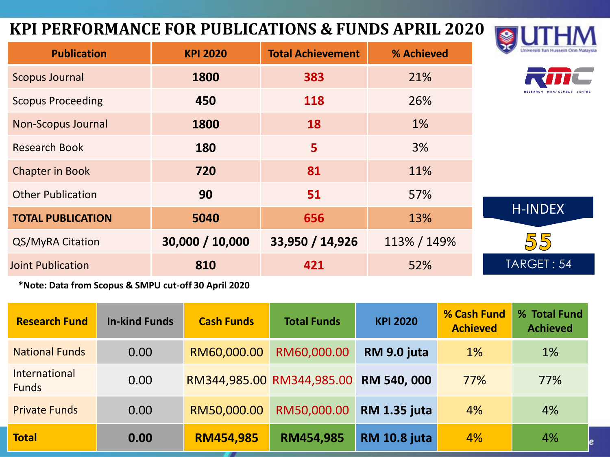#### **KPI PERFORMANCE FOR PUBLICATIONS & FUNDS APRIL 2020**



| <b>Publication</b>        | <b>KPI 2020</b> | <b>Total Achievement</b> | % Achieved  | Universiti Tun Hussein Onn Malaysia |  |  |  |
|---------------------------|-----------------|--------------------------|-------------|-------------------------------------|--|--|--|
| <b>Scopus Journal</b>     | 1800            | 383                      | 21%         |                                     |  |  |  |
| <b>Scopus Proceeding</b>  | 450             | 118                      | 26%         |                                     |  |  |  |
| <b>Non-Scopus Journal</b> | 1800            | 18                       | 1%          |                                     |  |  |  |
| <b>Research Book</b>      | 180             | $5\phantom{1}$           | 3%          |                                     |  |  |  |
| <b>Chapter in Book</b>    | 720             | 81                       | 11%         |                                     |  |  |  |
| <b>Other Publication</b>  | 90              | 51                       | 57%         |                                     |  |  |  |
| <b>TOTAL PUBLICATION</b>  | 5040            | 656                      | 13%         | <b>H-INDEX</b>                      |  |  |  |
| QS/MyRA Citation          | 30,000 / 10,000 | 33,950 / 14,926          | 113% / 149% | 55                                  |  |  |  |
| <b>Joint Publication</b>  | 810             | 421                      | 52%         | TARGET: 54                          |  |  |  |

**\*Note: Data from Scopus & SMPU cut-off 30 April 2020**

| <b>Research Fund</b>          | <b>In-kind Funds</b> | <b>Cash Funds</b> | <b>Total Funds</b>        | <b>KPI 2020</b>     | % Cash Fund<br><b>Achieved</b> | % Total Fund<br><b>Achieved</b> |
|-------------------------------|----------------------|-------------------|---------------------------|---------------------|--------------------------------|---------------------------------|
| <b>National Funds</b>         | 0.00                 | RM60,000.00       | RM60,000.00               | RM 9.0 juta         | 1%                             | 1%                              |
| International<br><b>Funds</b> | 0.00                 |                   | RM344,985.00 RM344,985.00 | RM 540, 000         | 77%                            | 77%                             |
| <b>Private Funds</b>          | 0.00                 | RM50,000.00       | RM50,000.00               | <b>RM 1.35 juta</b> | 4%                             | 4%                              |
| <b>Total</b>                  | 0.00                 | <b>RM454,985</b>  | RM454,985                 | <b>RM 10.8 juta</b> | 4%                             | 4%                              |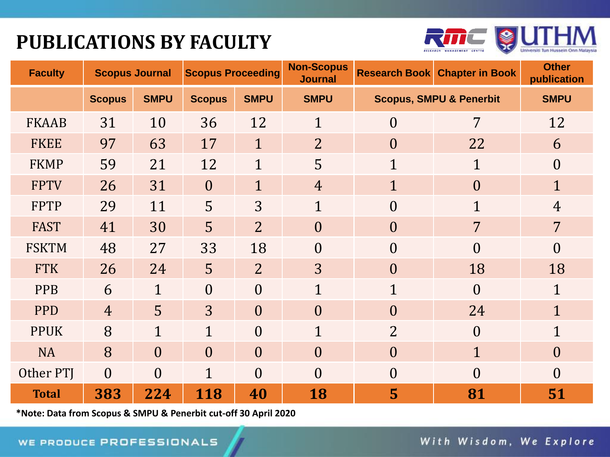## **PUBLICATIONS BY FACULTY**



| <b>Faculty</b> | <b>Scopus Journal</b> |                | <b>Scopus Proceeding</b> |                | <b>Non-Scopus</b><br><b>Journal</b> | <b>Research Book</b> | <b>Chapter in Book</b>             | <b>Other</b><br>publication |
|----------------|-----------------------|----------------|--------------------------|----------------|-------------------------------------|----------------------|------------------------------------|-----------------------------|
|                | <b>Scopus</b>         | <b>SMPU</b>    | <b>Scopus</b>            | <b>SMPU</b>    | <b>SMPU</b>                         |                      | <b>Scopus, SMPU &amp; Penerbit</b> | <b>SMPU</b>                 |
| <b>FKAAB</b>   | 31                    | 10             | 36                       | 12             | $\mathbf{1}$                        | $\overline{0}$       | 7                                  | 12                          |
| <b>FKEE</b>    | 97                    | 63             | 17                       | $\overline{1}$ | $\overline{2}$                      | $\overline{0}$       | 22                                 | 6                           |
| <b>FKMP</b>    | 59                    | 21             | 12                       | $\mathbf{1}$   | 5                                   | 1                    | $\mathbf{1}$                       | $\overline{0}$              |
| <b>FPTV</b>    | 26                    | 31             | $\overline{0}$           | $\overline{1}$ | $\overline{4}$                      | $\overline{1}$       | $\overline{0}$                     | $\overline{1}$              |
| <b>FPTP</b>    | 29                    | 11             | 5                        | 3              | $\mathbf{1}$                        | $\overline{0}$       | $\mathbf{1}$                       | 4                           |
| <b>FAST</b>    | 41                    | 30             | 5                        | $\overline{2}$ | $\overline{0}$                      | $\overline{0}$       | $\overline{7}$                     | $\overline{7}$              |
| <b>FSKTM</b>   | 48                    | 27             | 33                       | 18             | $\overline{0}$                      | $\Omega$             | $\Omega$                           | 0                           |
| <b>FTK</b>     | 26                    | 24             | 5                        | $\overline{2}$ | 3                                   | $\overline{0}$       | 18                                 | 18                          |
| <b>PPB</b>     | 6                     | $\mathbf{1}$   | $\overline{0}$           | $\overline{0}$ | 1                                   | $\mathbf{1}$         | $\theta$                           | $\mathbf{1}$                |
| <b>PPD</b>     | $\overline{4}$        | 5              | 3                        | $\theta$       | $\theta$                            | $\theta$             | 24                                 | $\overline{1}$              |
| <b>PPUK</b>    | 8                     | $\mathbf{1}$   | 1                        | $\theta$       | 1                                   | $\overline{2}$       | $\theta$                           | $\mathbf{1}$                |
| <b>NA</b>      | 8                     | $\overline{0}$ | $\overline{0}$           | $\theta$       | $\overline{0}$                      | $\theta$             | $\mathbf{1}$                       | $\overline{0}$              |
| Other PTJ      | $\overline{0}$        | $\theta$       | $\mathbf{1}$             | $\theta$       | $\overline{0}$                      | $\theta$             | $\theta$                           | $\theta$                    |
| <b>Total</b>   | 383                   | 224            | 118                      | 40             | 18                                  | 5                    | 81                                 | 51                          |

**\*Note: Data from Scopus & SMPU & Penerbit cut-off 30 April 2020**

With Wisdom, We Explore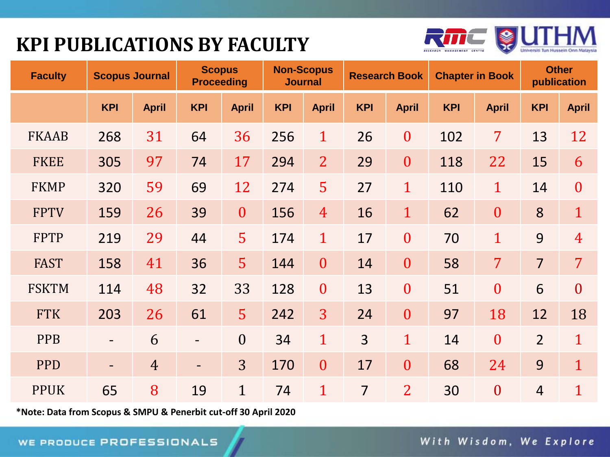## **KPI PUBLICATIONS BY FACULTY**



| <b>Faculty</b> | <b>Scopus Journal</b>    |                | <b>Scopus</b><br><b>Proceeding</b> |                  | <b>Non-Scopus</b><br><b>Journal</b> |                  | <b>Research Book</b> |                  | <b>Chapter in Book</b> |                  | <b>Other</b><br>publication |                  |
|----------------|--------------------------|----------------|------------------------------------|------------------|-------------------------------------|------------------|----------------------|------------------|------------------------|------------------|-----------------------------|------------------|
|                | <b>KPI</b>               | <b>April</b>   | <b>KPI</b>                         | <b>April</b>     | <b>KPI</b>                          | <b>April</b>     | <b>KPI</b>           | <b>April</b>     | <b>KPI</b>             | <b>April</b>     | <b>KPI</b>                  | <b>April</b>     |
| <b>FKAAB</b>   | 268                      | 31             | 64                                 | 36               | 256                                 | $\mathbf{1}$     | 26                   | $\overline{0}$   | 102                    | 7                | 13                          | 12               |
| <b>FKEE</b>    | 305                      | 97             | 74                                 | 17               | 294                                 | $\overline{2}$   | 29                   | $\boldsymbol{0}$ | 118                    | 22               | 15                          | 6                |
| <b>FKMP</b>    | 320                      | 59             | 69                                 | 12               | 274                                 | 5                | 27                   | $\overline{1}$   | 110                    | $\mathbf{1}$     | 14                          | $\boldsymbol{0}$ |
| <b>FPTV</b>    | 159                      | 26             | 39                                 | $\boldsymbol{0}$ | 156                                 | $\overline{4}$   | 16                   | $\mathbf{1}$     | 62                     | $\boldsymbol{0}$ | 8                           | $\mathbf{1}$     |
| <b>FPTP</b>    | 219                      | 29             | 44                                 | 5                | 174                                 | $\mathbf{1}$     | 17                   | $\overline{0}$   | 70                     | $\overline{1}$   | 9                           | $\overline{4}$   |
| <b>FAST</b>    | 158                      | 41             | 36                                 | 5                | 144                                 | $\overline{0}$   | 14                   | $\boldsymbol{0}$ | 58                     | $\overline{7}$   | $\overline{7}$              | $\overline{7}$   |
| <b>FSKTM</b>   | 114                      | 48             | 32                                 | 33               | 128                                 | $\boldsymbol{0}$ | 13                   | $\overline{0}$   | 51                     | $\boldsymbol{0}$ | 6                           | $\overline{0}$   |
| <b>FTK</b>     | 203                      | 26             | 61                                 | 5                | 242                                 | $\overline{3}$   | 24                   | $\boldsymbol{0}$ | 97                     | 18               | 12                          | 18               |
| <b>PPB</b>     | $\overline{\phantom{a}}$ | 6              |                                    | $\overline{0}$   | 34                                  | $\mathbf{1}$     | $\overline{3}$       | $\overline{1}$   | 14                     | $\boldsymbol{0}$ | $\overline{2}$              | $\overline{1}$   |
| <b>PPD</b>     | $\overline{\phantom{a}}$ | $\overline{4}$ | $\overline{\phantom{a}}$           | 3                | 170                                 | $\overline{0}$   | 17                   | $\overline{0}$   | 68                     | 24               | 9                           | $\mathbf{1}$     |
| <b>PPUK</b>    | 65                       | 8              | 19                                 | $\mathbf{1}$     | 74                                  | $\mathbf{1}$     | $\overline{7}$       | $\overline{2}$   | 30                     | $\boldsymbol{0}$ | $\overline{4}$              | $\overline{1}$   |

**\*Note: Data from Scopus & SMPU & Penerbit cut-off 30 April 2020**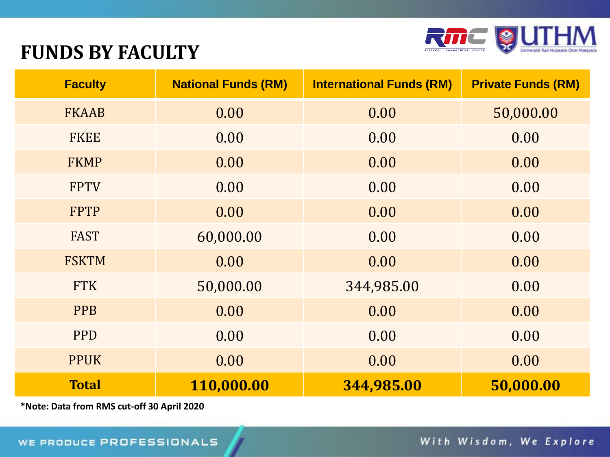

#### **FUNDS BY FACULTY**

| <b>Faculty</b> | <b>National Funds (RM)</b> | <b>International Funds (RM)</b> | <b>Private Funds (RM)</b> |
|----------------|----------------------------|---------------------------------|---------------------------|
| <b>FKAAB</b>   | 0.00                       | 0.00                            | 50,000.00                 |
| <b>FKEE</b>    | 0.00                       | 0.00                            | 0.00                      |
| <b>FKMP</b>    | 0.00                       | 0.00                            | 0.00                      |
| <b>FPTV</b>    | 0.00                       | 0.00                            | 0.00                      |
| <b>FPTP</b>    | 0.00                       | 0.00                            | 0.00                      |
| <b>FAST</b>    | 60,000.00                  | 0.00                            | 0.00                      |
| <b>FSKTM</b>   | 0.00                       | 0.00                            | 0.00                      |
| <b>FTK</b>     | 50,000.00                  | 344,985.00                      | 0.00                      |
| <b>PPB</b>     | 0.00                       | 0.00                            | 0.00                      |
| <b>PPD</b>     | 0.00                       | 0.00                            | 0.00                      |
| <b>PPUK</b>    | 0.00                       | 0.00                            | 0.00                      |
| <b>Total</b>   | 110,000.00                 | 344,985.00                      | 50,000.00                 |

**\*Note: Data from RMS cut-off 30 April 2020**

With Wisdom, We Explore